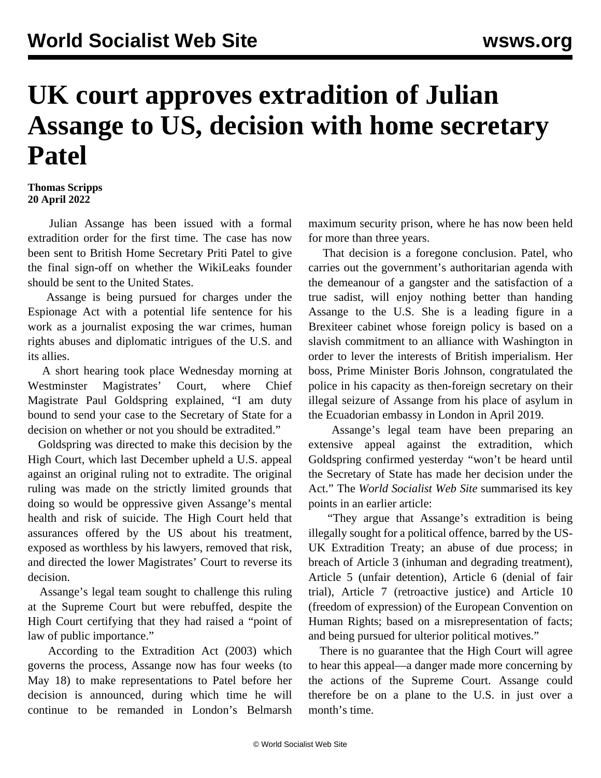## **UK court approves extradition of Julian Assange to US, decision with home secretary Patel**

## **Thomas Scripps 20 April 2022**

 Julian Assange has been issued with a formal extradition order for the first time. The case has now been sent to British Home Secretary Priti Patel to give the final sign-off on whether the WikiLeaks founder should be sent to the United States.

 Assange is being pursued for charges under the Espionage Act with a potential life sentence for his work as a journalist exposing the war crimes, human rights abuses and diplomatic intrigues of the U.S. and its allies.

 A short hearing took place Wednesday morning at Westminster Magistrates' Court, where Chief Magistrate Paul Goldspring explained, "I am duty bound to send your case to the Secretary of State for a decision on whether or not you should be extradited."

 Goldspring was directed to make this decision by the High Court, which last December [upheld](/en/articles/2021/12/11/pers-d11.html) a U.S. appeal against an original ruling not to extradite. The original ruling was made on the strictly limited grounds that doing so would be oppressive given Assange's mental health and risk of suicide. The High Court held that assurances offered by the US about his treatment, exposed as worthless by his lawyers, removed that risk, and directed the lower Magistrates' Court to reverse its decision.

 Assange's legal team sought to challenge this ruling at the Supreme Court but were [rebuffed,](/en/articles/2022/03/15/assa-m15.html) despite the High Court [certifying](/en/articles/2022/01/24/assa-j24.html) that they had raised a "point of law of public importance."

 According to the Extradition Act (2003) which governs the process, Assange now has four weeks (to May 18) to make representations to Patel before her decision is announced, during which time he will continue to be remanded in London's Belmarsh

maximum security prison, where he has now been held for more than three years.

 That decision is a foregone conclusion. Patel, who carries out the government's authoritarian agenda with the demeanour of a gangster and the satisfaction of a true sadist, will enjoy nothing better than handing Assange to the U.S. She is a leading figure in a Brexiteer cabinet whose foreign policy is based on a slavish commitment to an alliance with Washington in order to lever the interests of British imperialism. Her boss, Prime Minister Boris Johnson, congratulated the police in his capacity as then-foreign secretary on their illegal seizure of Assange from his place of asylum in the Ecuadorian embassy in London in April 2019.

 Assange's legal team have been preparing an extensive appeal against the extradition, which Goldspring confirmed yesterday "won't be heard until the Secretary of State has made her decision under the Act." The *World Socialist Web Site* summarised its key points in an earlier article:

 "They argue that Assange's extradition is being illegally sought for a political offence, barred by the US-UK Extradition Treaty; an abuse of due process; in breach of Article 3 (inhuman and degrading treatment), Article 5 (unfair detention), Article 6 (denial of fair trial), Article 7 (retroactive justice) and Article 10 (freedom of expression) of the European Convention on Human Rights; based on a misrepresentation of facts; and being pursued for ulterior political motives."

 There is no guarantee that the High Court will agree to hear this appeal—a danger made more concerning by the actions of the Supreme Court. Assange could therefore be on a plane to the U.S. in just over a month's time.